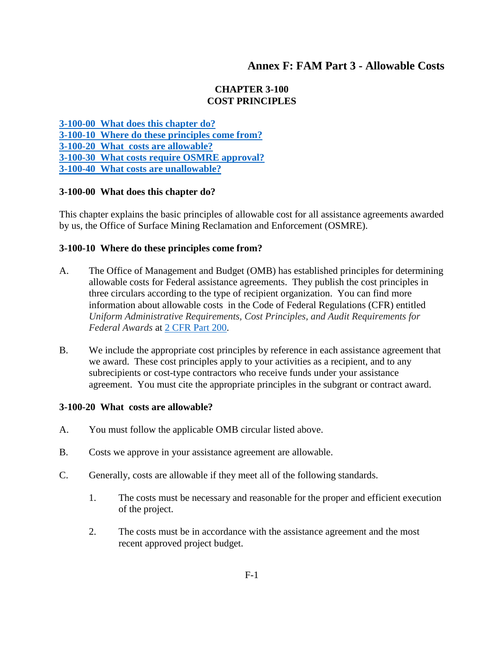# **Annex F: FAM Part 3 - Allowable Costs**

#### **CHAPTER 3-100 COST PRINCIPLES**

**[3-100-00 What does this chapter do?](#page-0-0) 3-100-10 Where [do these principles come from?](#page-0-1) [3-100-20 What costs are allowable?](#page-0-2) [3-100-30 What costs require OSMRE approval?](#page-1-0) [3-100-40 What costs are unallowable?](#page-1-1)**

#### <span id="page-0-0"></span>**3-100-00 What does this chapter do?**

This chapter explains the basic principles of allowable cost for all assistance agreements awarded by us, the Office of Surface Mining Reclamation and Enforcement (OSMRE).

#### <span id="page-0-1"></span>**3-100-10 Where do these principles come from?**

- A. The Office of Management and Budget (OMB) has established principles for determining allowable costs for Federal assistance agreements. They publish the cost principles in three circulars according to the type of recipient organization. You can find more information about allowable costs in the Code of Federal Regulations (CFR) entitled *Uniform Administrative Requirements, Cost Principles, and Audit Requirements for Federal Awards* at [2 CFR Part 200.](http://www.ecfr.gov/cgi-bin/text-idx?SID=4c8f187cb83ede71cb5cda8560c8bb69&pitd=00000000&tpl=/ecfrbrowse/Title02/2tab_02.tplhttp://www.ecfr.gov/cgi-bin/text-idx?SID=4c8f187cb83ede71cb5cda8560c8bb69&pitd=00000000&tpl=/ecfrbrowse/Title02/2tab_02.tpl)
- B. We include the appropriate cost principles by reference in each assistance agreement that we award. These cost principles apply to your activities as a recipient, and to any subrecipients or cost-type contractors who receive funds under your assistance agreement. You must cite the appropriate principles in the subgrant or contract award.

#### <span id="page-0-2"></span>**3-100-20 What costs are allowable?**

- A. You must follow the applicable OMB circular listed above.
- B. Costs we approve in your assistance agreement are allowable.
- C. Generally, costs are allowable if they meet all of the following standards.
	- 1. The costs must be necessary and reasonable for the proper and efficient execution of the project.
	- 2. The costs must be in accordance with the assistance agreement and the most recent approved project budget.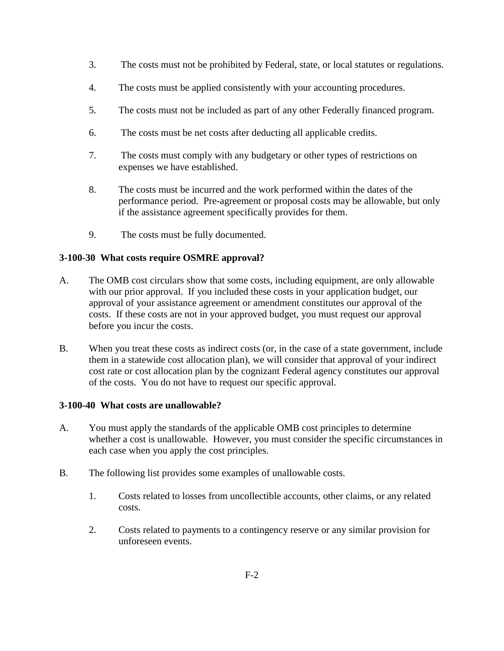- 3. The costs must not be prohibited by Federal, state, or local statutes or regulations.
- 4. The costs must be applied consistently with your accounting procedures.
- 5. The costs must not be included as part of any other Federally financed program.
- 6. The costs must be net costs after deducting all applicable credits.
- 7. The costs must comply with any budgetary or other types of restrictions on expenses we have established.
- 8. The costs must be incurred and the work performed within the dates of the performance period. Pre-agreement or proposal costs may be allowable, but only if the assistance agreement specifically provides for them.
- 9. The costs must be fully documented.

## <span id="page-1-0"></span>**3-100-30 What costs require OSMRE approval?**

- A. The OMB cost circulars show that some costs, including equipment, are only allowable with our prior approval. If you included these costs in your application budget, our approval of your assistance agreement or amendment constitutes our approval of the costs. If these costs are not in your approved budget, you must request our approval before you incur the costs.
- B. When you treat these costs as indirect costs (or, in the case of a state government, include them in a statewide cost allocation plan), we will consider that approval of your indirect cost rate or cost allocation plan by the cognizant Federal agency constitutes our approval of the costs. You do not have to request our specific approval.

### <span id="page-1-1"></span>**3-100-40 What costs are unallowable?**

- A. You must apply the standards of the applicable OMB cost principles to determine whether a cost is unallowable. However, you must consider the specific circumstances in each case when you apply the cost principles.
- B. The following list provides some examples of unallowable costs.
	- 1. Costs related to losses from uncollectible accounts, other claims, or any related costs.
	- 2. Costs related to payments to a contingency reserve or any similar provision for unforeseen events.